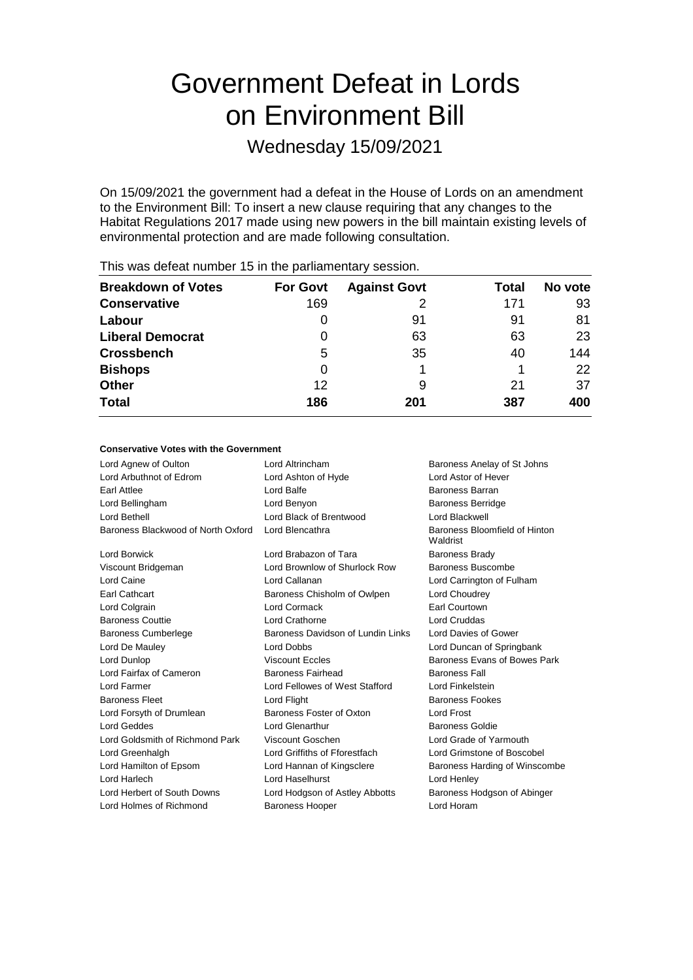# Government Defeat in Lords on Environment Bill

Wednesday 15/09/2021

On 15/09/2021 the government had a defeat in the House of Lords on an amendment to the Environment Bill: To insert a new clause requiring that any changes to the Habitat Regulations 2017 made using new powers in the bill maintain existing levels of environmental protection and are made following consultation.

| <b>For Govt</b> | <b>Against Govt</b> | Total | No vote |
|-----------------|---------------------|-------|---------|
| 169             |                     | 171   | 93      |
| 0               | 91                  | 91    | 81      |
| 0               | 63                  | 63    | 23      |
| 5               | 35                  | 40    | 144     |
| 0               |                     |       | 22      |
| 12              | 9                   | 21    | 37      |
| 186             | 201                 | 387   | 400     |
|                 |                     |       |         |

This was defeat number 15 in the parliamentary session.

#### **Conservative Votes with the Government**

| Lord Agnew of Oulton               | Lord Altrincham                   | Baroness Anelay of St Johns               |
|------------------------------------|-----------------------------------|-------------------------------------------|
| Lord Arbuthnot of Edrom            | Lord Ashton of Hyde               | <b>Lord Astor of Hever</b>                |
| <b>Farl Attlee</b>                 | Lord Balfe                        | <b>Baroness Barran</b>                    |
| Lord Bellingham                    | Lord Benyon                       | <b>Baroness Berridge</b>                  |
| Lord Bethell                       | Lord Black of Brentwood           | Lord Blackwell                            |
| Baroness Blackwood of North Oxford | Lord Blencathra                   | Baroness Bloomfield of Hinton<br>Waldrist |
| Lord Borwick                       | Lord Brabazon of Tara             | <b>Baroness Brady</b>                     |
| Viscount Bridgeman                 | Lord Brownlow of Shurlock Row     | Baroness Buscombe                         |
| Lord Caine                         | Lord Callanan                     | Lord Carrington of Fulham                 |
| Earl Cathcart                      | Baroness Chisholm of Owlpen       | Lord Choudrey                             |
| Lord Colgrain                      | Lord Cormack                      | Earl Courtown                             |
| <b>Baroness Couttie</b>            | Lord Crathorne                    | Lord Cruddas                              |
| <b>Baroness Cumberlege</b>         | Baroness Davidson of Lundin Links | Lord Davies of Gower                      |
| Lord De Mauley                     | Lord Dobbs                        | Lord Duncan of Springbank                 |
| Lord Dunlop                        | <b>Viscount Eccles</b>            | Baroness Evans of Bowes Park              |
| Lord Fairfax of Cameron            | <b>Baroness Fairhead</b>          | <b>Baroness Fall</b>                      |
| Lord Farmer                        | Lord Fellowes of West Stafford    | Lord Finkelstein                          |
| <b>Baroness Fleet</b>              | Lord Flight                       | <b>Baroness Fookes</b>                    |
| Lord Forsyth of Drumlean           | Baroness Foster of Oxton          | Lord Frost                                |
| Lord Geddes                        | Lord Glenarthur                   | <b>Baroness Goldie</b>                    |
| Lord Goldsmith of Richmond Park    | Viscount Goschen                  | Lord Grade of Yarmouth                    |
| Lord Greenhalgh                    | Lord Griffiths of Fforestfach     | Lord Grimstone of Boscobel                |
| Lord Hamilton of Epsom             | Lord Hannan of Kingsclere         | Baroness Harding of Winscombe             |
| Lord Harlech                       | Lord Haselhurst                   | Lord Henley                               |
| Lord Herbert of South Downs        | Lord Hodgson of Astley Abbotts    | Baroness Hodgson of Abinger               |
| Lord Holmes of Richmond            | <b>Baroness Hooper</b>            | Lord Horam                                |
|                                    |                                   |                                           |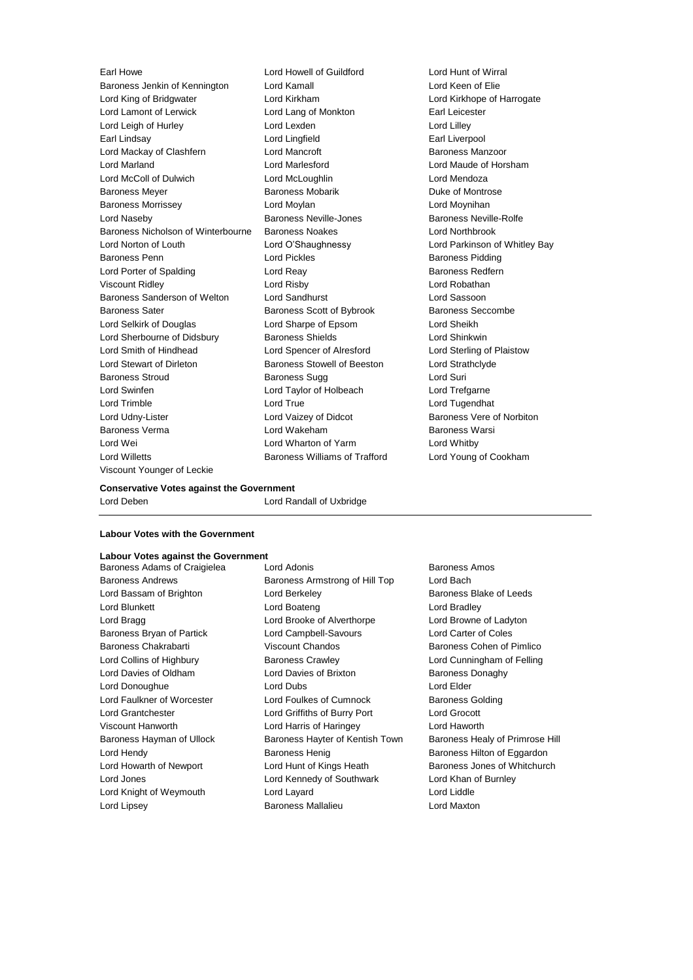Baroness Jenkin of Kennington Lord Kamall Lord Keen of Elie Lord King of Bridgwater Lord Kirkham Lord Kirkhope of Harrogate Lord Lamont of Lerwick Lord Lang of Monkton Earl Leicester Lord Leigh of Hurley **Lord Lord Lexden** Lord Lord Lord Lilley Earl Lindsay **Lord Lingfield** Earl Liverpool Lord Mackay of Clashfern **Lord Mancroft Baroness Manzoor** Baroness Manzoor Lord Marland Lord Marlesford Lord Maude of Horsham Lord McColl of Dulwich Lord McLoughlin Lord Mendoza Baroness Meyer **Baroness Mobarik** Baroness Mobarik **Duke of Montrose** Baroness Morrissey **Lord Moylan** Lord Moylan **Lord Moylan** Lord Moynihan Lord Naseby Baroness Neville-Jones Baroness Neville-Rolfe Baroness Nicholson of Winterbourne Baroness Noakes Lord Northbrook Lord Norton of Louth Lord O'Shaughnessy Lord Parkinson of Whitley Bay Baroness Penn **Exercise Exercise Exercise Contracts** Lord Pickles **Baroness Pidding** Lord Porter of Spalding **Lord Reay Community** Baroness Redfern Viscount Ridley Lord Risby Lord Robathan Baroness Sanderson of Welton Lord Sandhurst Lord Sassoon Baroness Sater **Baroness Scott of Bybrook** Baroness Seccombe Lord Selkirk of Douglas Lord Sharpe of Epsom Lord Sheikh Lord Sherbourne of Didsbury **Baroness Shields** Lord Shinkwin Lord Smith of Hindhead Lord Spencer of Alresford Lord Sterling of Plaistow Lord Stewart of Dirleton Baroness Stowell of Beeston Lord Strathclyde Baroness Stroud **Baroness Sugg Community** Baroness Sugg **Lord Suri** Lord Swinfen Lord Taylor of Holbeach Lord Trefgarne Lord Trimble Lord True Lord Tugendhat Lord Udny-Lister **Lord Vaizey of Didcot** Baroness Vere of Norbiton Baroness Verma **Baroness Verma** Lord Wakeham **Baroness Warsi** Baroness Warsi Lord Wei Lord Wharton of Yarm Lord Whitby Lord Willetts Baroness Williams of Trafford Lord Young of Cookham Viscount Younger of Leckie

Earl Howe Lord Howell of Guildford Lord Hunt of Wirral

#### **Conservative Votes against the Government** Lord Deben Lord Randall of Uxbridge

#### **Labour Votes with the Government**

#### **Labour Votes against the Government**

Baroness Andrews **Baroness Armstrong of Hill Top** Lord Bach Lord Bassam of Brighton **Lord Berkeley Communist Constructs** Baroness Blake of Leeds Lord Blunkett Lord Boateng Lord Bradley Lord Bragg Lord Brooke of Alverthorpe Lord Browne of Ladyton Baroness Bryan of Partick Lord Campbell-Savours Lord Carter of Coles Baroness Chakrabarti **Manual Chandos** Viscount Chandos **Baroness Cohen of Pimlico** Lord Collins of Highbury Baroness Crawley Lord Cunningham of Felling Lord Davies of Oldham **Lord Davies of Brixton** Baroness Donaghy Lord Donoughue Lord Dubs Lord Elder Lord Faulkner of Worcester **Lord Foulkes of Cumnock** Baroness Golding Lord Grantchester Lord Griffiths of Burry Port Lord Grocott Viscount Hanworth Lord Harris of Haringey Lord Haworth Baroness Hayman of Ullock Baroness Hayter of Kentish Town Baroness Healy of Primrose Hill Lord Hendy **Baroness Henig** Baroness Henig Baroness Hilton of Eggardon Lord Howarth of Newport **Lord Hunt of Kings Heath** Baroness Jones of Whitchurch Lord Jones Lord Kennedy of Southwark Lord Khan of Burnley Lord Knight of Weymouth Lord Layard Lord Liddle Lord Lipsey Baroness Mallalieu Lord Maxton

Baroness Adams of Craigielea Lord Adonis **Baroness Amos**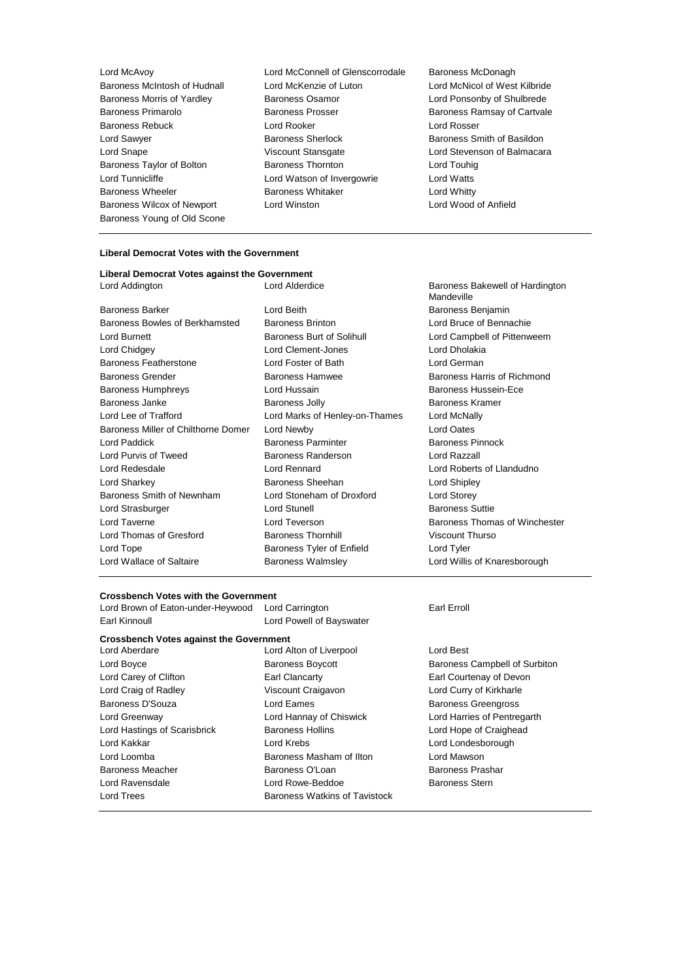Lord McAvoy Lord McConnell of Glenscorrodale Baroness McDonagh Baroness Young of Old Scone

Baroness McIntosh of Hudnall Lord McKenzie of Luton Lord McNicol of West Kilbride<br>
Baroness Morris of Yardlev Baroness Osamor Lord Ponsonby of Shulbrede Baroness Morris of Yardley **Baroness Osamor** Baroness Cosamor<br>Baroness Primarolo **Baroness Prosser** Baroness Ramsay of Cartyal Baroness Rebuck **Lord Rooker** Lord Rooker **Lord Rosser** Lord Sawyer **Baroness Sherlock** Baroness Sherlock Baroness Smith of Basildon Lord Snape Viscount Stansgate Lord Stevenson of Balmacara Baroness Taylor of Bolton **Baroness Thornton** Baroness Thornton **Lord Touhig**<br>
Lord Tunnicliffe **Constant Lord Watson of Invergowrie** Lord Watts Lord Watson of Invergowrie Lord Watts Baroness Wheeler **Baroness Whitaker** Lord Whitty Baroness Wilcox of Newport Lord Winston Lord Wood of Anfield

### **Liberal Democrat Votes with the Government**

| Liberal Democrat Votes against the Government |                                |                                               |
|-----------------------------------------------|--------------------------------|-----------------------------------------------|
| Lord Addington                                | Lord Alderdice                 | Baroness Bakewell of Hardington<br>Mandeville |
| <b>Baroness Barker</b>                        | Lord Beith                     | Baroness Benjamin                             |
| Baroness Bowles of Berkhamsted                | <b>Baroness Brinton</b>        | Lord Bruce of Bennachie                       |
| Lord Burnett                                  | Baroness Burt of Solihull      | Lord Campbell of Pittenweem                   |
| Lord Chidgey                                  | Lord Clement-Jones             | Lord Dholakia                                 |
| Baroness Featherstone                         | Lord Foster of Bath            | Lord German                                   |
| <b>Baroness Grender</b>                       | <b>Baroness Hamwee</b>         | Baroness Harris of Richmond                   |
| <b>Baroness Humphreys</b>                     | Lord Hussain                   | Baroness Hussein-Ece                          |
| Baroness Janke                                | <b>Baroness Jolly</b>          | <b>Baroness Kramer</b>                        |
| Lord Lee of Trafford                          | Lord Marks of Henley-on-Thames | Lord McNally                                  |
| Baroness Miller of Chilthorne Domer           | Lord Newby                     | Lord Oates                                    |
| Lord Paddick                                  | <b>Baroness Parminter</b>      | <b>Baroness Pinnock</b>                       |
| Lord Purvis of Tweed                          | Baroness Randerson             | Lord Razzall                                  |
| Lord Redesdale                                | Lord Rennard                   | Lord Roberts of Llandudno                     |
| Lord Sharkey                                  | Baroness Sheehan               | Lord Shipley                                  |
| Baroness Smith of Newnham                     | Lord Stoneham of Droxford      | Lord Storey                                   |
| Lord Strasburger                              | <b>Lord Stunell</b>            | <b>Baroness Suttie</b>                        |
| Lord Taverne                                  | Lord Teverson                  | Baroness Thomas of Winchester                 |
| Lord Thomas of Gresford                       | <b>Baroness Thornhill</b>      | Viscount Thurso                               |
| Lord Tope                                     | Baroness Tyler of Enfield      | Lord Tyler                                    |
| Lord Wallace of Saltaire                      | <b>Baroness Walmsley</b>       | Lord Willis of Knaresborough                  |
|                                               |                                |                                               |

#### **Crossbench Votes with the Government**

| Giussuchuli vulcs willi liic Quvcitiiliciil<br>Lord Brown of Eaton-under-Heywood | Lord Carrington               | Earl Erroll       |
|----------------------------------------------------------------------------------|-------------------------------|-------------------|
| Earl Kinnoull                                                                    | Lord Powell of Bayswater      |                   |
| <b>Crossbench Votes against the Government</b>                                   |                               |                   |
| Lord Aberdare                                                                    | Lord Alton of Liverpool       | Lord Best         |
| Lord Boyce                                                                       | <b>Baroness Boycott</b>       | <b>Baroness</b>   |
| Lord Carey of Clifton                                                            | Earl Clancarty                | <b>Earl Court</b> |
| Lord Craig of Radley                                                             | Viscount Craigavon            | Lord Curry        |
| Baroness D'Souza                                                                 | Lord Eames                    | <b>Baroness</b>   |
| Lord Greenway                                                                    | Lord Hannay of Chiswick       | Lord Harri        |
| Lord Hastings of Scarisbrick                                                     | <b>Baroness Hollins</b>       | Lord Hope         |
| Lord Kakkar                                                                      | Lord Krebs                    | Lord Lond         |
| Lord Loomba                                                                      | Baroness Masham of Ilton      | Lord Maws         |
| Baroness Meacher                                                                 | Baroness O'Loan               | <b>Baroness</b>   |
| Lord Ravensdale                                                                  | Lord Rowe-Beddoe              | Baroness          |
| Lord Trees                                                                       | Baroness Watkins of Tavistock |                   |
|                                                                                  |                               |                   |

Baroness Campbell of Surbiton Earl Courtenay of Devon Lord Curry of Kirkharle Baroness Greengross Lord Harries of Pentregarth Lord Hope of Craighead Lord Londesborough Lord Mawson Baroness Prashar Baroness Stern

Baroness Ramsay of Cartvale